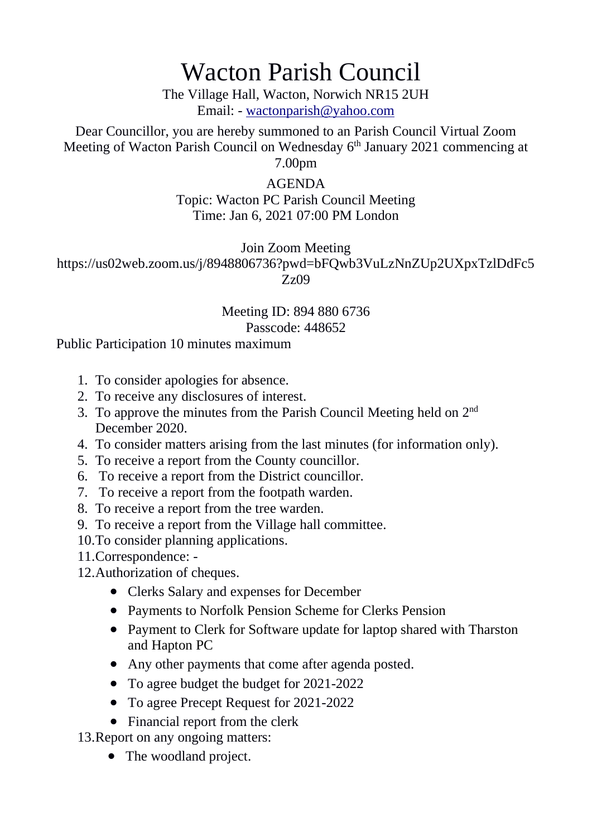## Wacton Parish Council

The Village Hall, Wacton, Norwich NR15 2UH Email: - [wactonparish@yahoo.com](mailto:wactonparish@yahoo.com)

Dear Councillor, you are hereby summoned to an Parish Council Virtual Zoom Meeting of Wacton Parish Council on Wednesday 6<sup>th</sup> January 2021 commencing at

7.00pm

## AGENDA Topic: Wacton PC Parish Council Meeting Time: Jan 6, 2021 07:00 PM London

Join Zoom Meeting https://us02web.zoom.us/j/8948806736?pwd=bFQwb3VuLzNnZUp2UXpxTzlDdFc5 Zz09

## Meeting ID: 894 880 6736 Passcode: 448652

Public Participation 10 minutes maximum

- 1. To consider apologies for absence.
- 2. To receive any disclosures of interest.
- 3. To approve the minutes from the Parish Council Meeting held on 2<sup>nd</sup> December 2020.
- 4. To consider matters arising from the last minutes (for information only).
- 5. To receive a report from the County councillor.
- 6. To receive a report from the District councillor.
- 7. To receive a report from the footpath warden.
- 8. To receive a report from the tree warden.
- 9. To receive a report from the Village hall committee.
- 10.To consider planning applications.
- 11.Correspondence: -
- 12.Authorization of cheques.
	- Clerks Salary and expenses for December
	- Payments to Norfolk Pension Scheme for Clerks Pension
	- Payment to Clerk for Software update for laptop shared with Tharston and Hapton PC
	- Any other payments that come after agenda posted.
	- To agree budget the budget for 2021-2022
	- To agree Precept Request for 2021-2022
	- Financial report from the clerk

13.Report on any ongoing matters:

• The woodland project.